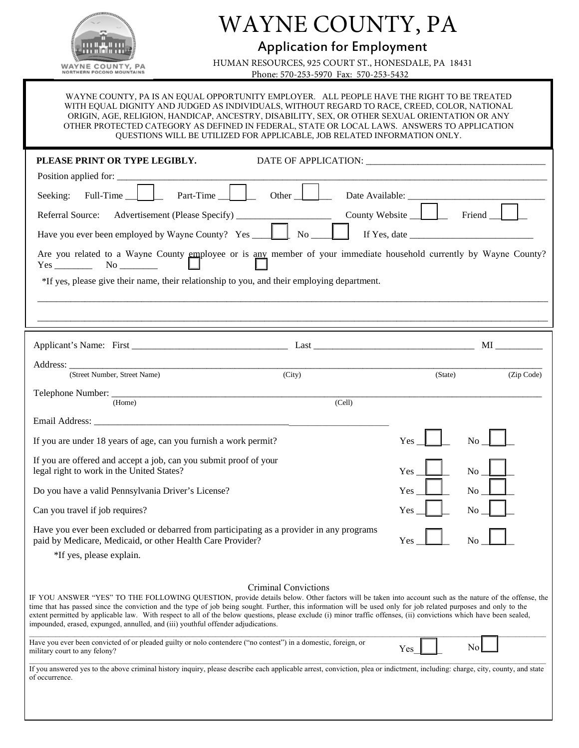

# WAYNE COUNTY, PA

Application for Employment

HUMAN RESOURCES, 925 COURT ST., HONESDALE, PA 18431 Phone: 570-253-5970 Fax: 570-253-5432

WAYNE COUNTY, PA IS AN EQUAL OPPORTUNITY EMPLOYER. ALL PEOPLE HAVE THE RIGHT TO BE TREATED WITH EQUAL DIGNITY AND JUDGED AS INDIVIDUALS, WITHOUT REGARD TO RACE, CREED, COLOR, NATIONAL ORIGIN, AGE, RELIGION, HANDICAP, ANCESTRY, DISABILITY, SEX, OR OTHER SEXUAL ORIENTATION OR ANY OTHER PROTECTED CATEGORY AS DEFINED IN FEDERAL, STATE OR LOCAL LAWS. ANSWERS TO APPLICATION QUESTIONS WILL BE UTILIZED FOR APPLICABLE, JOB RELATED INFORMATION ONLY.

| PLEASE PRINT OR TYPE LEGIBLY.                                                                                                                                                                                                                                                                                                                                                                                                                                                                                                                                                                                 |                                |                                                                                                                                                                                                                                                                                                                                              |
|---------------------------------------------------------------------------------------------------------------------------------------------------------------------------------------------------------------------------------------------------------------------------------------------------------------------------------------------------------------------------------------------------------------------------------------------------------------------------------------------------------------------------------------------------------------------------------------------------------------|--------------------------------|----------------------------------------------------------------------------------------------------------------------------------------------------------------------------------------------------------------------------------------------------------------------------------------------------------------------------------------------|
| Position applied for:                                                                                                                                                                                                                                                                                                                                                                                                                                                                                                                                                                                         |                                |                                                                                                                                                                                                                                                                                                                                              |
| Seeking:<br>Full-Time<br>Part-Time<br>Other                                                                                                                                                                                                                                                                                                                                                                                                                                                                                                                                                                   | Date Available: ______________ |                                                                                                                                                                                                                                                                                                                                              |
| Referral Source:                                                                                                                                                                                                                                                                                                                                                                                                                                                                                                                                                                                              | County Website                 | Friend __                                                                                                                                                                                                                                                                                                                                    |
| Have you ever been employed by Wayne County? Yes ____<br>No                                                                                                                                                                                                                                                                                                                                                                                                                                                                                                                                                   |                                | If Yes, date $\qquad \qquad$ $\qquad \qquad$ $\qquad$ $\qquad$ $\qquad$ $\qquad$ $\qquad$ $\qquad$ $\qquad$ $\qquad$ $\qquad$ $\qquad$ $\qquad$ $\qquad$ $\qquad$ $\qquad$ $\qquad$ $\qquad$ $\qquad$ $\qquad$ $\qquad$ $\qquad$ $\qquad$ $\qquad$ $\qquad$ $\qquad$ $\qquad$ $\qquad$ $\qquad$ $\qquad$ $\qquad$ $\qquad$ $\qquad$ $\qquad$ |
| Are you related to a Wayne County employee or is any member of your immediate household currently by Wayne County?<br>*If yes, please give their name, their relationship to you, and their employing department.                                                                                                                                                                                                                                                                                                                                                                                             |                                |                                                                                                                                                                                                                                                                                                                                              |
|                                                                                                                                                                                                                                                                                                                                                                                                                                                                                                                                                                                                               |                                |                                                                                                                                                                                                                                                                                                                                              |
|                                                                                                                                                                                                                                                                                                                                                                                                                                                                                                                                                                                                               |                                |                                                                                                                                                                                                                                                                                                                                              |
|                                                                                                                                                                                                                                                                                                                                                                                                                                                                                                                                                                                                               |                                |                                                                                                                                                                                                                                                                                                                                              |
|                                                                                                                                                                                                                                                                                                                                                                                                                                                                                                                                                                                                               |                                |                                                                                                                                                                                                                                                                                                                                              |
|                                                                                                                                                                                                                                                                                                                                                                                                                                                                                                                                                                                                               |                                |                                                                                                                                                                                                                                                                                                                                              |
| (City)<br>(Street Number, Street Name)                                                                                                                                                                                                                                                                                                                                                                                                                                                                                                                                                                        | (State)                        | (Zip Code)                                                                                                                                                                                                                                                                                                                                   |
| (Cell)<br>(Home)                                                                                                                                                                                                                                                                                                                                                                                                                                                                                                                                                                                              |                                |                                                                                                                                                                                                                                                                                                                                              |
|                                                                                                                                                                                                                                                                                                                                                                                                                                                                                                                                                                                                               |                                |                                                                                                                                                                                                                                                                                                                                              |
| If you are under 18 years of age, can you furnish a work permit?                                                                                                                                                                                                                                                                                                                                                                                                                                                                                                                                              | Yes                            | No                                                                                                                                                                                                                                                                                                                                           |
| If you are offered and accept a job, can you submit proof of your<br>legal right to work in the United States?                                                                                                                                                                                                                                                                                                                                                                                                                                                                                                | Yes                            | N <sub>o</sub>                                                                                                                                                                                                                                                                                                                               |
| Do you have a valid Pennsylvania Driver's License?                                                                                                                                                                                                                                                                                                                                                                                                                                                                                                                                                            | Yes                            | N <sub>o</sub>                                                                                                                                                                                                                                                                                                                               |
| Can you travel if job requires?                                                                                                                                                                                                                                                                                                                                                                                                                                                                                                                                                                               | Yes                            | N <sub>o</sub>                                                                                                                                                                                                                                                                                                                               |
| Have you ever been excluded or debarred from participating as a provider in any programs<br>paid by Medicare, Medicaid, or other Health Care Provider?                                                                                                                                                                                                                                                                                                                                                                                                                                                        | Yes                            | N <sub>o</sub>                                                                                                                                                                                                                                                                                                                               |
| *If yes, please explain.                                                                                                                                                                                                                                                                                                                                                                                                                                                                                                                                                                                      |                                |                                                                                                                                                                                                                                                                                                                                              |
|                                                                                                                                                                                                                                                                                                                                                                                                                                                                                                                                                                                                               |                                |                                                                                                                                                                                                                                                                                                                                              |
| Criminal Convictions<br>IF YOU ANSWER "YES" TO THE FOLLOWING QUESTION, provide details below. Other factors will be taken into account such as the nature of the offense, the<br>time that has passed since the conviction and the type of job being sought. Further, this information will be used only for job related purposes and only to the<br>extent permitted by applicable law. With respect to all of the below questions, please exclude (i) minor traffic offenses, (ii) convictions which have been sealed,<br>impounded, erased, expunged, annulled, and (iii) youthful offender adjudications. |                                |                                                                                                                                                                                                                                                                                                                                              |
| Have you ever been convicted of or pleaded guilty or nolo contendere ("no contest") in a domestic, foreign, or<br>military court to any felony?                                                                                                                                                                                                                                                                                                                                                                                                                                                               | Yes                            | No                                                                                                                                                                                                                                                                                                                                           |
| If you answered yes to the above criminal history inquiry, please describe each applicable arrest, conviction, plea or indictment, including: charge, city, county, and state<br>of occurrence.                                                                                                                                                                                                                                                                                                                                                                                                               |                                |                                                                                                                                                                                                                                                                                                                                              |
|                                                                                                                                                                                                                                                                                                                                                                                                                                                                                                                                                                                                               |                                |                                                                                                                                                                                                                                                                                                                                              |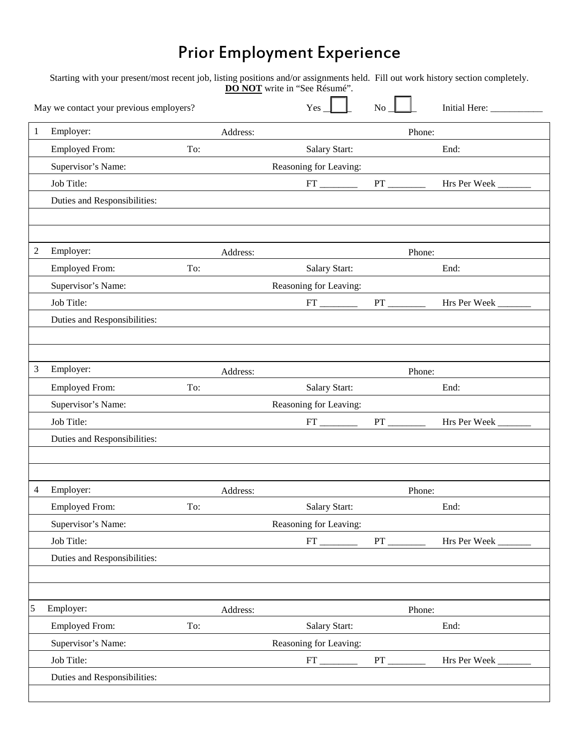### Prior Employment Experience

Starting with your present/most recent job, listing positions and/or assignments held. Fill out work history section completely. **DO NOT** write in "See Résumé".

|              | May we contact your previous employers? |     |          | Yes                        | N <sub>o</sub>       |                |
|--------------|-----------------------------------------|-----|----------|----------------------------|----------------------|----------------|
| $\mathbf{1}$ | Employer:                               |     | Address: |                            | Phone:               |                |
|              | <b>Employed From:</b>                   | To: |          | Salary Start:              |                      | End:           |
|              | Supervisor's Name:                      |     |          | Reasoning for Leaving:     |                      |                |
|              | Job Title:                              |     |          | $FT$ <sub>_________</sub>  |                      | Hrs Per Week   |
|              | Duties and Responsibilities:            |     |          |                            |                      |                |
|              |                                         |     |          |                            |                      |                |
|              |                                         |     |          |                            |                      |                |
| 2            | Employer:                               |     | Address: |                            | Phone:               |                |
|              | <b>Employed From:</b>                   | To: |          | Salary Start:              |                      | End:           |
|              | Supervisor's Name:                      |     |          | Reasoning for Leaving:     |                      |                |
|              | Job Title:                              |     |          |                            |                      |                |
|              | Duties and Responsibilities:            |     |          |                            |                      |                |
|              |                                         |     |          |                            |                      |                |
|              |                                         |     |          |                            |                      |                |
| 3            | Employer:                               |     | Address: |                            | Phone:               |                |
|              | <b>Employed From:</b>                   | To: |          | Salary Start:              |                      | End:           |
|              | Supervisor's Name:                      |     |          | Reasoning for Leaving:     |                      |                |
|              | Job Title:                              |     |          | $FT$ <sub>__________</sub> |                      | Hrs Per Week   |
|              | Duties and Responsibilities:            |     |          |                            |                      |                |
|              |                                         |     |          |                            |                      |                |
|              |                                         |     |          |                            |                      |                |
| 4            | Employer:                               |     | Address: |                            | Phone:               |                |
|              | <b>Employed From:</b>                   | To: |          | <b>Salary Start:</b>       |                      | End:           |
|              | Supervisor's Name:                      |     |          | Reasoning for Leaving:     |                      |                |
|              | Job Title:                              |     |          |                            | $PT$ <sub>____</sub> | Hrs Per Week _ |
|              | Duties and Responsibilities:            |     |          |                            |                      |                |
|              |                                         |     |          |                            |                      |                |
|              |                                         |     |          |                            |                      |                |
| 5            | Employer:                               |     | Address: |                            | Phone:               |                |
|              | <b>Employed From:</b>                   | To: |          | Salary Start:              |                      | End:           |
|              | Supervisor's Name:                      |     |          | Reasoning for Leaving:     |                      |                |
|              | Job Title:                              |     |          | $FT \_\_$                  | $PT$ <sub>__</sub>   | Hrs Per Week   |
|              | Duties and Responsibilities:            |     |          |                            |                      |                |
|              |                                         |     |          |                            |                      |                |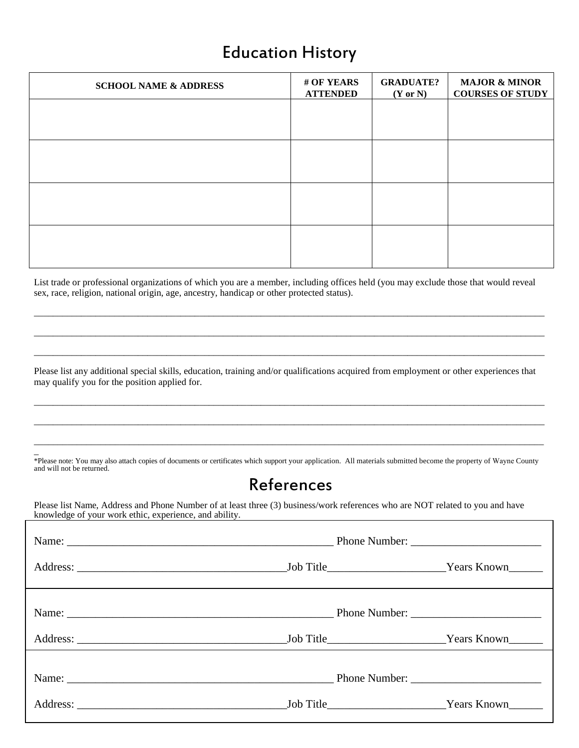#### Education History

| <b>SCHOOL NAME &amp; ADDRESS</b> | # OF YEARS<br><b>ATTENDED</b> | <b>GRADUATE?</b><br>$(Y \text{ or } N)$ | <b>MAJOR &amp; MINOR</b><br><b>COURSES OF STUDY</b> |
|----------------------------------|-------------------------------|-----------------------------------------|-----------------------------------------------------|
|                                  |                               |                                         |                                                     |
|                                  |                               |                                         |                                                     |
|                                  |                               |                                         |                                                     |
|                                  |                               |                                         |                                                     |

List trade or professional organizations of which you are a member, including offices held (you may exclude those that would reveal sex, race, religion, national origin, age, ancestry, handicap or other protected status).

\_\_\_\_\_\_\_\_\_\_\_\_\_\_\_\_\_\_\_\_\_\_\_\_\_\_\_\_\_\_\_\_\_\_\_\_\_\_\_\_\_\_\_\_\_\_\_\_\_\_\_\_\_\_\_\_\_\_\_\_\_\_\_\_\_\_\_\_\_\_\_\_\_\_\_\_\_\_\_\_\_\_\_\_\_\_\_\_\_\_\_\_\_\_\_\_\_\_\_\_\_\_\_\_\_\_\_\_

\_\_\_\_\_\_\_\_\_\_\_\_\_\_\_\_\_\_\_\_\_\_\_\_\_\_\_\_\_\_\_\_\_\_\_\_\_\_\_\_\_\_\_\_\_\_\_\_\_\_\_\_\_\_\_\_\_\_\_\_\_\_\_\_\_\_\_\_\_\_\_\_\_\_\_\_\_\_\_\_\_\_\_\_\_\_\_\_\_\_\_\_\_\_\_\_\_\_\_\_\_\_\_\_\_\_\_\_

\_\_\_\_\_\_\_\_\_\_\_\_\_\_\_\_\_\_\_\_\_\_\_\_\_\_\_\_\_\_\_\_\_\_\_\_\_\_\_\_\_\_\_\_\_\_\_\_\_\_\_\_\_\_\_\_\_\_\_\_\_\_\_\_\_\_\_\_\_\_\_\_\_\_\_\_\_\_\_\_\_\_\_\_\_\_\_\_\_\_\_\_\_\_\_\_\_\_\_\_\_\_\_\_\_\_\_\_

Please list any additional special skills, education, training and/or qualifications acquired from employment or other experiences that may qualify you for the position applied for.

\_\_\_\_\_\_\_\_\_\_\_\_\_\_\_\_\_\_\_\_\_\_\_\_\_\_\_\_\_\_\_\_\_\_\_\_\_\_\_\_\_\_\_\_\_\_\_\_\_\_\_\_\_\_\_\_\_\_\_\_\_\_\_\_\_\_\_\_\_\_\_\_\_\_\_\_\_\_\_\_\_\_\_\_\_\_\_\_\_\_\_\_\_\_\_\_\_\_\_\_\_\_\_\_\_\_\_\_

\_\_\_\_\_\_\_\_\_\_\_\_\_\_\_\_\_\_\_\_\_\_\_\_\_\_\_\_\_\_\_\_\_\_\_\_\_\_\_\_\_\_\_\_\_\_\_\_\_\_\_\_\_\_\_\_\_\_\_\_\_\_\_\_\_\_\_\_\_\_\_\_\_\_\_\_\_\_\_\_\_\_\_\_\_\_\_\_\_\_\_\_\_\_\_\_\_\_\_\_\_\_\_\_\_\_\_\_

\_\_\_\_\_\_\_\_\_\_\_\_\_\_\_\_\_\_\_\_\_\_\_\_\_\_\_\_\_\_\_\_\_\_\_\_\_\_\_\_\_\_\_\_\_\_\_\_\_\_\_\_\_\_\_\_\_\_\_\_\_\_\_\_\_\_\_\_\_\_\_\_\_\_\_\_\_\_\_\_\_\_\_\_\_\_\_\_\_\_\_\_\_\_\_\_\_\_\_\_\_\_\_\_\_\_\_

\*Please note: You may also attach copies of documents or certificates which support your application. All materials submitted become the property of Wayne County and will not be returned.

 $\overline{a}$ 

#### References

Please list Name, Address and Phone Number of at least three (3) business/work references who are NOT related to you and have knowledge of your work ethic, experience, and ability.